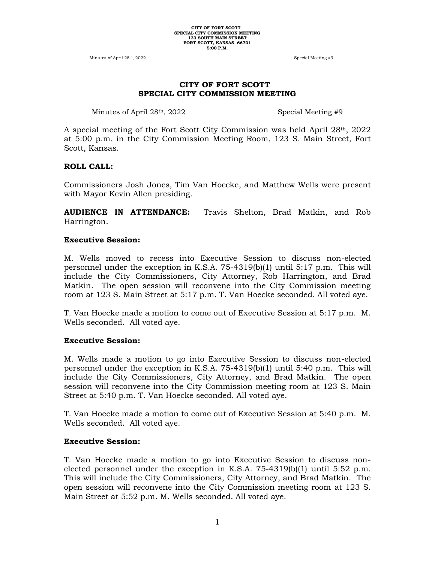Minutes of April 28<sup>th</sup>, 2022 38. The Special Meeting #9

## **CITY OF FORT SCOTT SPECIAL CITY COMMISSION MEETING**

Minutes of April 28<sup>th</sup>, 2022 Special Meeting #9

A special meeting of the Fort Scott City Commission was held April 28th, 2022 at 5:00 p.m. in the City Commission Meeting Room, 123 S. Main Street, Fort Scott, Kansas.

## **ROLL CALL:**

Commissioners Josh Jones, Tim Van Hoecke, and Matthew Wells were present with Mayor Kevin Allen presiding.

**AUDIENCE IN ATTENDANCE:** Travis Shelton, Brad Matkin, and Rob Harrington.

#### **Executive Session:**

M. Wells moved to recess into Executive Session to discuss non-elected personnel under the exception in K.S.A. 75-4319(b)(1) until 5:17 p.m. This will include the City Commissioners, City Attorney, Rob Harrington, and Brad Matkin. The open session will reconvene into the City Commission meeting room at 123 S. Main Street at 5:17 p.m. T. Van Hoecke seconded. All voted aye.

T. Van Hoecke made a motion to come out of Executive Session at 5:17 p.m. M. Wells seconded. All voted aye.

#### **Executive Session:**

M. Wells made a motion to go into Executive Session to discuss non-elected personnel under the exception in K.S.A. 75-4319(b)(1) until 5:40 p.m. This will include the City Commissioners, City Attorney, and Brad Matkin. The open session will reconvene into the City Commission meeting room at 123 S. Main Street at 5:40 p.m. T. Van Hoecke seconded. All voted aye.

T. Van Hoecke made a motion to come out of Executive Session at 5:40 p.m. M. Wells seconded. All voted aye.

## **Executive Session:**

T. Van Hoecke made a motion to go into Executive Session to discuss nonelected personnel under the exception in K.S.A.  $75-4319(b)(1)$  until  $5:52$  p.m. This will include the City Commissioners, City Attorney, and Brad Matkin. The open session will reconvene into the City Commission meeting room at 123 S. Main Street at 5:52 p.m. M. Wells seconded. All voted aye.